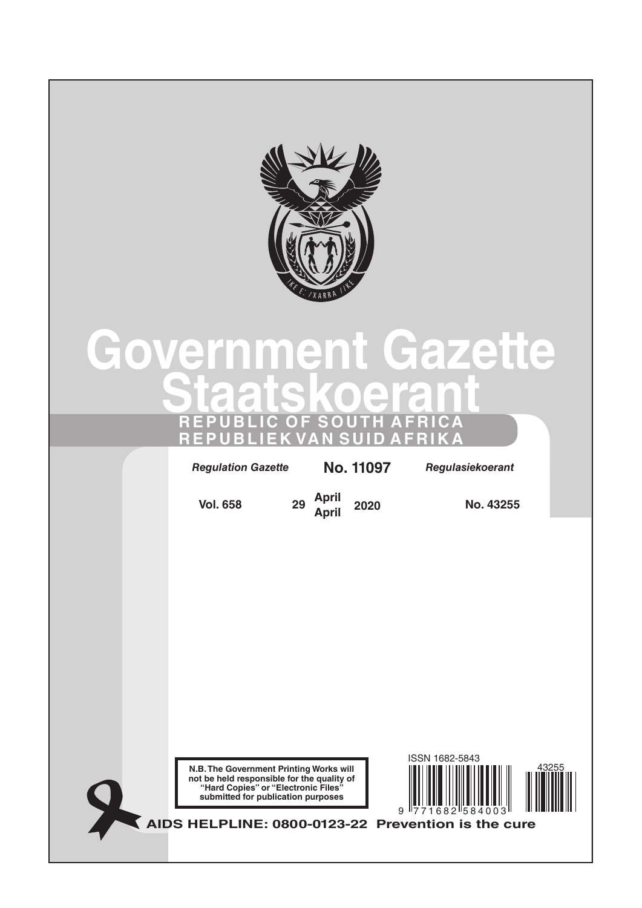

# **Government Gazette Staatskoerant REPUBLIC OF SOUTH AFRICA REPUBLIEK VAN SUID AFRIKA**

*Regulation Gazette* **No. 10177** *Regulasiekoerant Regulation Gazette* **No. 11097** *Regulasiekoerant*

**Vol. 658 <sup>29</sup> April** 

**April <sup>2020</sup> No. 43255**

**N.B. The Government Printing Works will not be held responsible for the quality of "Hard Copies" or "Electronic Files" submitted for publication purposes**



**AIDS HELPLINE: 0800-0123-22 Prevention is the cure**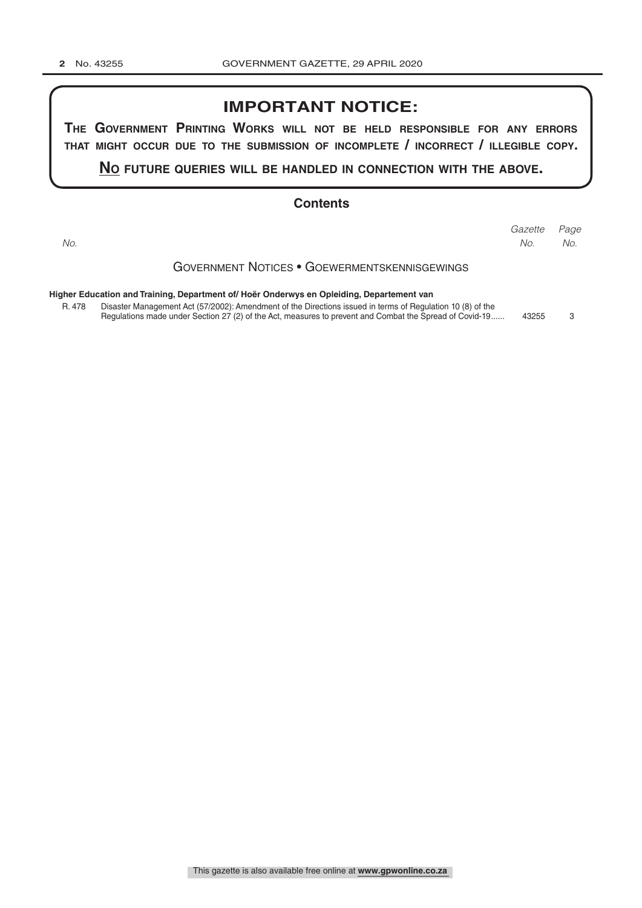## **IMPORTANT NOTICE:**

**The GovernmenT PrinTinG Works Will noT be held resPonsible for any errors ThaT miGhT occur due To The submission of incomPleTe / incorrecT / illeGible coPy.**

**no fuTure queries Will be handled in connecTion WiTh The above.**

#### **Contents**

*Page Gazette No. No. No.*

### Government Notices • Goewermentskennisgewings

**Higher Education and Training, Department of/ Hoër Onderwys en Opleiding, Departement van**

| R. 478 | Disaster Management Act (57/2002): Amendment of the Directions issued in terms of Regulation 10 (8) of the |       |     |
|--------|------------------------------------------------------------------------------------------------------------|-------|-----|
|        | Regulations made under Section 27 (2) of the Act, measures to prevent and Combat the Spread of Covid-19    | 43255 | - 3 |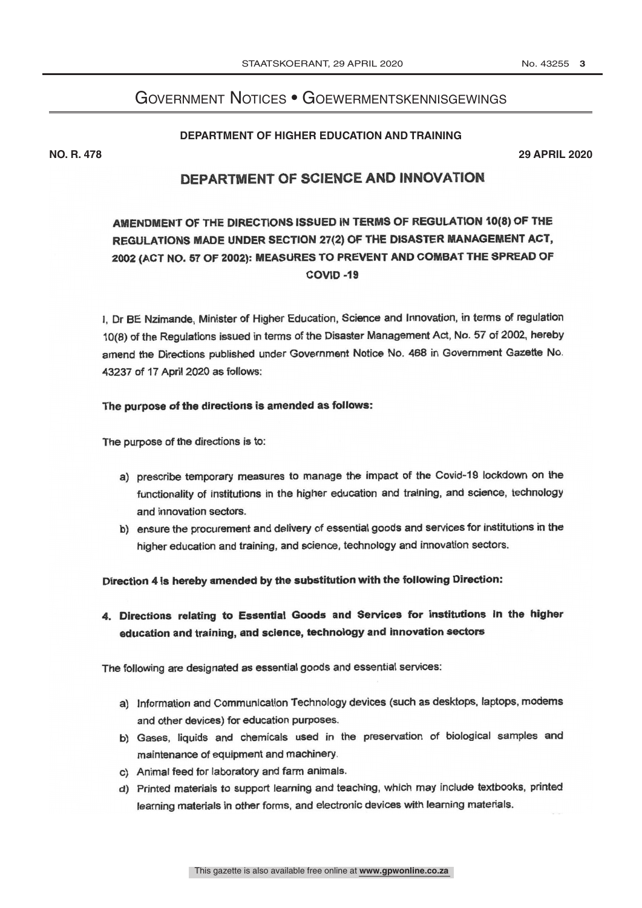## Government Notices • Goewermentskennisgewings

#### **DEPARTMENT OF HIGHER EDUCATION AND TRAINING**

 $\mathcal{L}$ department of higher experiment of  $\mathcal{L}$ department  $\mathcal{L}$ department of  $\mathcal{L}$ department of  $\mathcal{L}$ **NO. R. 478 29 APRIL 2020**

## DEPARTMENT OF SCIENCE AND INNOVATION

# AMENDMENT OF THE DIRECTIONS ISSUED IN TERMS OF REGULATION 10(8) OF THE REGULATIONS MADE UNDER SECTION 27(2) OF THE DISASTER MANAGEMENT ACT, 2002 (ACT NO. 57 OF 2002): MEASURES TO PREVENT AND COMBAT THE SPREAD OF COVID -19

I, Dr BE Nzimande, Minister of Higher Education, Science and Innovation, in terms of regulation 10(8) of the Regulations issued in terms of the Disaster Management Act, No. 57 of 2002, hereby amend the Directions published under Government Notice No. 468 in Government Gazette No. 43237 of 17 April 2020 as follows:

#### The purpose of the directions is amended as follows:

The purpose of the directions is to:

- a) prescribe temporary measures to manage the impact of the Covid-19 lockdown on the functionality of institutions in the higher education and training, and science, technology and innovation sectors.
- b) ensure the procurement and delivery of essential goods and services for institutions in the higher education and training, and science, technology and innovation sectors.

Direction 4 is hereby amended by the substitution with the following Direction:

4. Directions relating to Essential Goods and Services for institutions in the higher education and training, and science, technology and innovation sectors

The following are designated as essential goods and essential services:

- a) Information and Communication Technology devices (such as desktops, laptops, modems and other devices) for education purposes.
- b) Gases, liquids and chemicals used in the preservation of biological samples and maintenance of equipment and machinery.
- c) Animal feed for laboratory and farm animals.
- d) Printed materials to support learning and teaching, which may include textbooks, printed learning materials in other forms, and electronic devices with learning materials.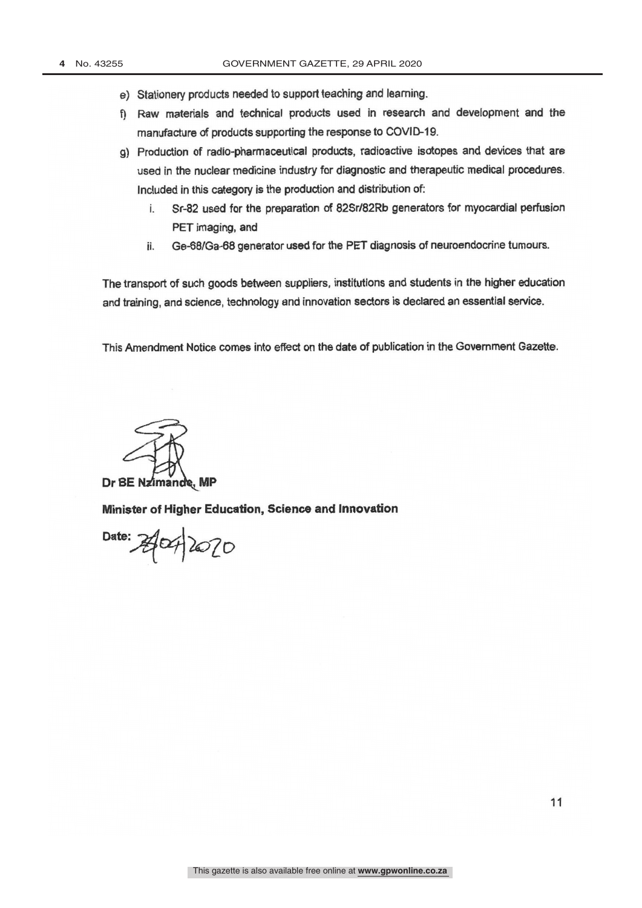- e) Stationery products needed to support teaching and learning.
- f) Raw materials and technical products used in research and development and the manufacture of products supporting the response to COVID-19.
- g) Production of radio -pharmaceutical products, radioactive isotopes and devices that are used in the nuclear medicine industry for diagnostic and therapeutic medical procedures. Included in this category is the production and distribution of:
	- i. Sr-82 used for the preparation of 82Sr/82Rb generators for myocardial perfusion PET imaging, and
	- ii. Ge-68/Ga-68 generator used for the PET diagnosis of neuroendocrine tumours.

The transport of such goods between suppliers, institutions and students in the higher education and training, and science, technology and innovation sectors is declared an essential service.

This Amendment Notice comes into effect on the date of publication in the Government Gazette.

Dr BE Nzimande, MP

Minister of Higher Education, Science and Innovation

Date: 2004 2020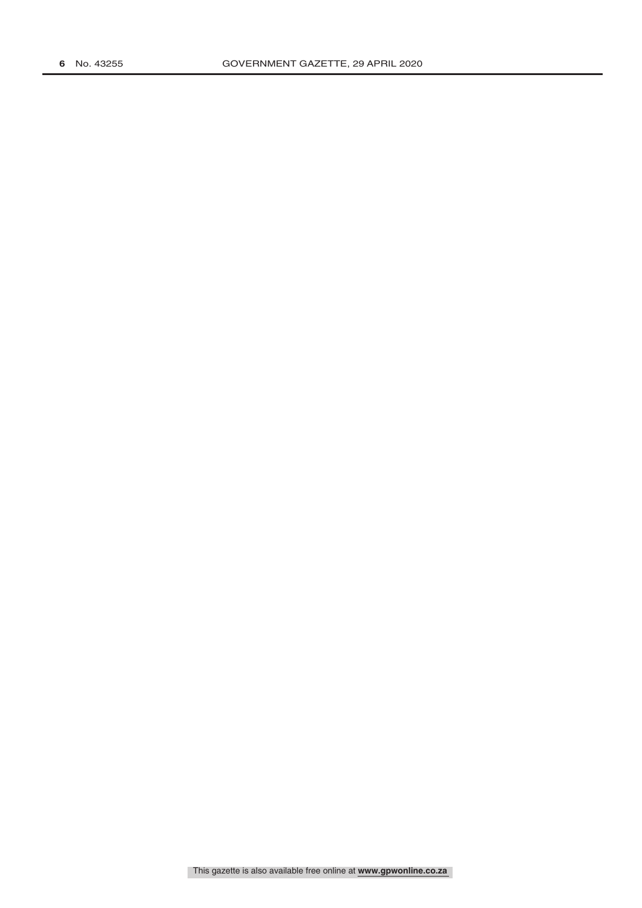This gazette is also available free online at **www.gpwonline.co.za**